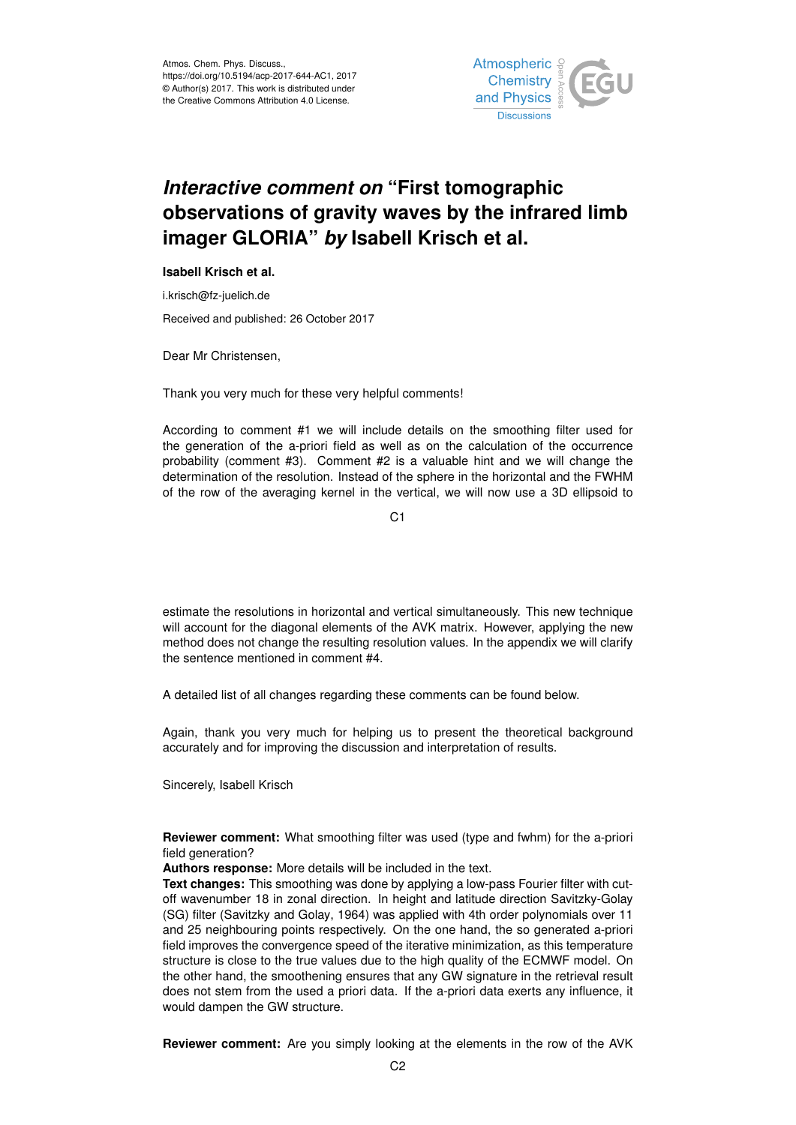

## *Interactive comment on* **"First tomographic observations of gravity waves by the infrared limb imager GLORIA"** *by* **Isabell Krisch et al.**

## **Isabell Krisch et al.**

i.krisch@fz-juelich.de

Received and published: 26 October 2017

Dear Mr Christensen,

Thank you very much for these very helpful comments!

According to comment #1 we will include details on the smoothing filter used for the generation of the a-priori field as well as on the calculation of the occurrence probability (comment #3). Comment #2 is a valuable hint and we will change the determination of the resolution. Instead of the sphere in the horizontal and the FWHM of the row of the averaging kernel in the vertical, we will now use a 3D ellipsoid to

 $C<sub>1</sub>$ 

estimate the resolutions in horizontal and vertical simultaneously. This new technique will account for the diagonal elements of the AVK matrix. However, applying the new method does not change the resulting resolution values. In the appendix we will clarify the sentence mentioned in comment #4.

A detailed list of all changes regarding these comments can be found below.

Again, thank you very much for helping us to present the theoretical background accurately and for improving the discussion and interpretation of results.

Sincerely, Isabell Krisch

**Reviewer comment:** What smoothing filter was used (type and fwhm) for the a-priori field generation?

**Authors response:** More details will be included in the text.

**Text changes:** This smoothing was done by applying a low-pass Fourier filter with cutoff wavenumber 18 in zonal direction. In height and latitude direction Savitzky-Golay (SG) filter (Savitzky and Golay, 1964) was applied with 4th order polynomials over 11 and 25 neighbouring points respectively. On the one hand, the so generated a-priori field improves the convergence speed of the iterative minimization, as this temperature structure is close to the true values due to the high quality of the ECMWF model. On the other hand, the smoothening ensures that any GW signature in the retrieval result does not stem from the used a priori data. If the a-priori data exerts any influence, it would dampen the GW structure.

**Reviewer comment:** Are you simply looking at the elements in the row of the AVK